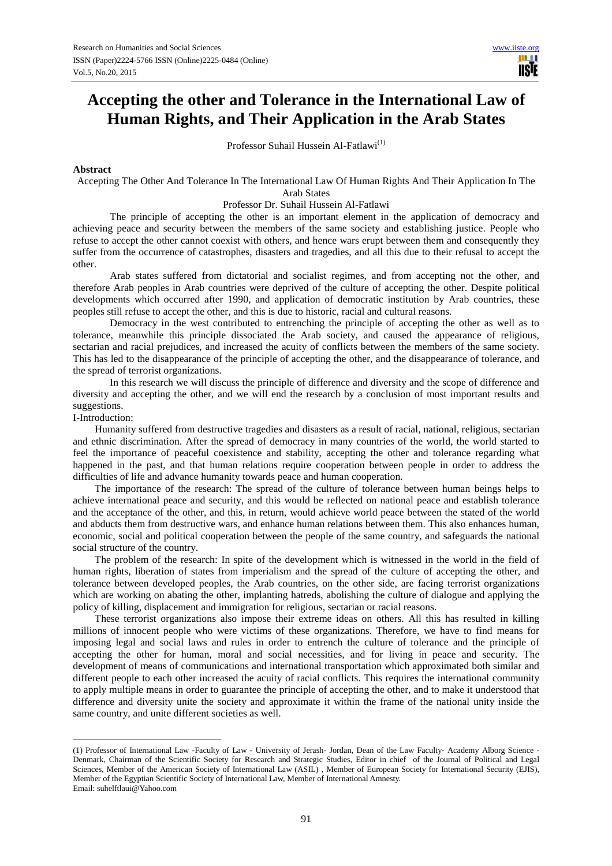# **Accepting the other and Tolerance in the International Law of Human Rights, and Their Application in the Arab States**

Professor Suhail Hussein Al-Fatlawi<sup>(1)</sup>

#### **Abstract**

Accepting The Other And Tolerance In The International Law Of Human Rights And Their Application In The Arab States

Professor Dr. Suhail Hussein Al-Fatlawi

The principle of accepting the other is an important element in the application of democracy and achieving peace and security between the members of the same society and establishing justice. People who refuse to accept the other cannot coexist with others, and hence wars erupt between them and consequently they suffer from the occurrence of catastrophes, disasters and tragedies, and all this due to their refusal to accept the other.

Arab states suffered from dictatorial and socialist regimes, and from accepting not the other, and therefore Arab peoples in Arab countries were deprived of the culture of accepting the other. Despite political developments which occurred after 1990, and application of democratic institution by Arab countries, these peoples still refuse to accept the other, and this is due to historic, racial and cultural reasons.

Democracy in the west contributed to entrenching the principle of accepting the other as well as to tolerance, meanwhile this principle dissociated the Arab society, and caused the appearance of religious, sectarian and racial prejudices, and increased the acuity of conflicts between the members of the same society. This has led to the disappearance of the principle of accepting the other, and the disappearance of tolerance, and the spread of terrorist organizations.

In this research we will discuss the principle of difference and diversity and the scope of difference and diversity and accepting the other, and we will end the research by a conclusion of most important results and suggestions.

I-Introduction:

Humanity suffered from destructive tragedies and disasters as a result of racial, national, religious, sectarian and ethnic discrimination. After the spread of democracy in many countries of the world, the world started to feel the importance of peaceful coexistence and stability, accepting the other and tolerance regarding what happened in the past, and that human relations require cooperation between people in order to address the difficulties of life and advance humanity towards peace and human cooperation.

The importance of the research: The spread of the culture of tolerance between human beings helps to achieve international peace and security, and this would be reflected on national peace and establish tolerance and the acceptance of the other, and this, in return, would achieve world peace between the stated of the world and abducts them from destructive wars, and enhance human relations between them. This also enhances human, economic, social and political cooperation between the people of the same country, and safeguards the national social structure of the country.

The problem of the research: In spite of the development which is witnessed in the world in the field of human rights, liberation of states from imperialism and the spread of the culture of accepting the other, and tolerance between developed peoples, the Arab countries, on the other side, are facing terrorist organizations which are working on abating the other, implanting hatreds, abolishing the culture of dialogue and applying the policy of killing, displacement and immigration for religious, sectarian or racial reasons.

These terrorist organizations also impose their extreme ideas on others. All this has resulted in killing millions of innocent people who were victims of these organizations. Therefore, we have to find means for imposing legal and social laws and rules in order to entrench the culture of tolerance and the principle of accepting the other for human, moral and social necessities, and for living in peace and security. The development of means of communications and international transportation which approximated both similar and different people to each other increased the acuity of racial conflicts. This requires the international community to apply multiple means in order to guarantee the principle of accepting the other, and to make it understood that difference and diversity unite the society and approximate it within the frame of the national unity inside the same country, and unite different societies as well.

<sup>(1)</sup> Professor of International Law -Faculty of Law - University of Jerash- Jordan, Dean of the Law Faculty- Academy Alborg Science - Denmark, Chairman of the Scientific Society for Research and Strategic Studies, Editor in chief of the Journal of Political and Legal Sciences, Member of the American Society of International Law (ASIL) , Member of European Society for International Security (EJIS), Member of the Egyptian Scientific Society of International Law, Member of International Amnesty.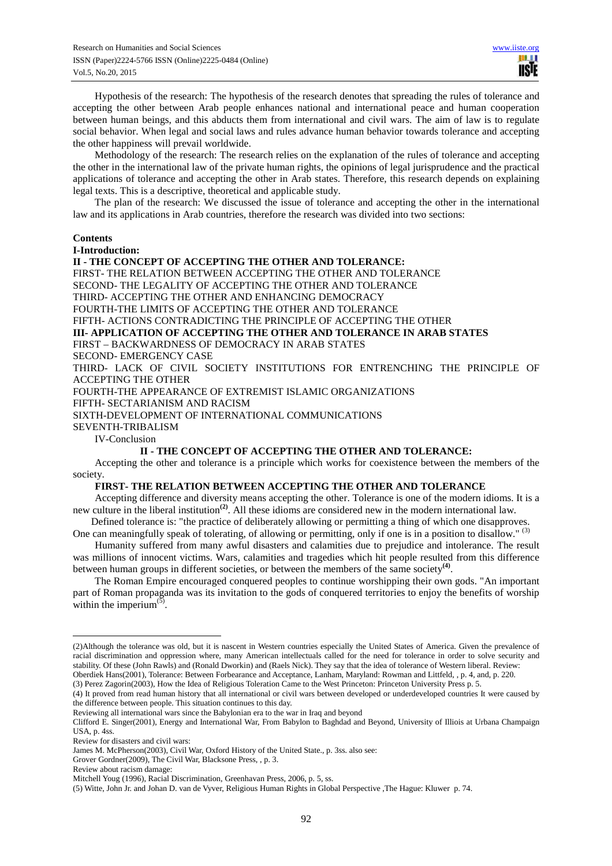Hypothesis of the research: The hypothesis of the research denotes that spreading the rules of tolerance and accepting the other between Arab people enhances national and international peace and human cooperation between human beings, and this abducts them from international and civil wars. The aim of law is to regulate social behavior. When legal and social laws and rules advance human behavior towards tolerance and accepting the other happiness will prevail worldwide.

Methodology of the research: The research relies on the explanation of the rules of tolerance and accepting the other in the international law of the private human rights, the opinions of legal jurisprudence and the practical applications of tolerance and accepting the other in Arab states. Therefore, this research depends on explaining legal texts. This is a descriptive, theoretical and applicable study.

The plan of the research: We discussed the issue of tolerance and accepting the other in the international law and its applications in Arab countries, therefore the research was divided into two sections:

### **Contents**

**I-Introduction:** 

**II - THE CONCEPT OF ACCEPTING THE OTHER AND TOLERANCE:**  FIRST- THE RELATION BETWEEN ACCEPTING THE OTHER AND TOLERANCE SECOND- THE LEGALITY OF ACCEPTING THE OTHER AND TOLERANCE THIRD- ACCEPTING THE OTHER AND ENHANCING DEMOCRACY FOURTH-THE LIMITS OF ACCEPTING THE OTHER AND TOLERANCE FIFTH- ACTIONS CONTRADICTING THE PRINCIPLE OF ACCEPTING THE OTHER **III- APPLICATION OF ACCEPTING THE OTHER AND TOLERANCE IN ARAB STATES**  FIRST – BACKWARDNESS OF DEMOCRACY IN ARAB STATES SECOND- EMERGENCY CASE THIRD- LACK OF CIVIL SOCIETY INSTITUTIONS FOR ENTRENCHING THE PRINCIPLE OF ACCEPTING THE OTHER FOURTH-THE APPEARANCE OF EXTREMIST ISLAMIC ORGANIZATIONS FIFTH- SECTARIANISM AND RACISM SIXTH-DEVELOPMENT OF INTERNATIONAL COMMUNICATIONS SEVENTH-TRIBALISM IV-Conclusion

# **II - THE CONCEPT OF ACCEPTING THE OTHER AND TOLERANCE:**

Accepting the other and tolerance is a principle which works for coexistence between the members of the society.

# **FIRST- THE RELATION BETWEEN ACCEPTING THE OTHER AND TOLERANCE**

Accepting difference and diversity means accepting the other. Tolerance is one of the modern idioms. It is a new culture in the liberal institution<sup>(2)</sup>. All these idioms are considered new in the modern international law.

 Defined tolerance is: "the practice of deliberately allowing or permitting a thing of which one disapproves. One can meaningfully speak of tolerating, of allowing or permitting, only if one is in a position to disallow."  $(3)$ 

Humanity suffered from many awful disasters and calamities due to prejudice and intolerance. The result was millions of innocent victims. Wars, calamities and tragedies which hit people resulted from this difference between human groups in different societies, or between the members of the same society<sup>(4)</sup>.

The Roman Empire encouraged conquered peoples to continue worshipping their own gods. "An important part of Roman propaganda was its invitation to the gods of conquered territories to enjoy the benefits of worship within the imperium $(\bar{5})$ .

(3) Perez Zagorin(2003), How the Idea of Religious Toleration Came to the West Princeton: Princeton University Press p. 5.

(4) It proved from read human history that all international or civil wars between developed or underdeveloped countries It were caused by the difference between people. This situation continues to this day.

<sup>(2)</sup>Although the tolerance was old, but it is nascent in Western countries especially the United States of America. Given the prevalence of racial discrimination and oppression where, many American intellectuals called for the need for tolerance in order to solve security and stability. Of these (John Rawls) and (Ronald Dworkin) and (Raels Nick). They say that the idea of tolerance of Western liberal. Review: Oberdiek Hans(2001), Tolerance: Between Forbearance and Acceptance, Lanham, Maryland: Rowman and Littfeld, , p. 4, and, p. 220.

Reviewing all international wars since the Babylonian era to the war in Iraq and beyond

Clifford E. Singer(2001), Energy and International War, From Babylon to Baghdad and Beyond, University of Illiois at Urbana Champaign USA, p. 4ss.

Review for disasters and civil wars:

James M. McPherson(2003), Civil War, Oxford History of the United State., p. 3ss. also see:

Grover Gordner(2009), The Civil War, Blacksone Press, , p. 3.

Review about racism damage:

Mitchell Youg (1996), Racial Discrimination, Greenhavan Press, 2006, p. 5, ss.

<sup>(5)</sup> Witte, John Jr. and Johan D. van de Vyver, Religious Human Rights in Global Perspective ,The Hague: Kluwer p. 74.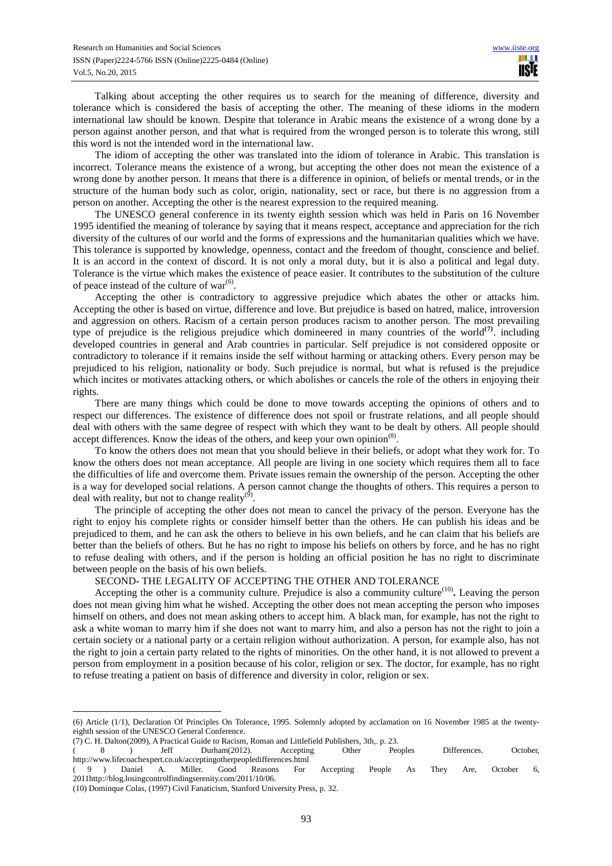Talking about accepting the other requires us to search for the meaning of difference, diversity and tolerance which is considered the basis of accepting the other. The meaning of these idioms in the modern international law should be known. Despite that tolerance in Arabic means the existence of a wrong done by a person against another person, and that what is required from the wronged person is to tolerate this wrong, still this word is not the intended word in the international law.

The idiom of accepting the other was translated into the idiom of tolerance in Arabic. This translation is incorrect. Tolerance means the existence of a wrong, but accepting the other does not mean the existence of a wrong done by another person. It means that there is a difference in opinion, of beliefs or mental trends, or in the structure of the human body such as color, origin, nationality, sect or race, but there is no aggression from a person on another. Accepting the other is the nearest expression to the required meaning.

The UNESCO general conference in its twenty eighth session which was held in Paris on 16 November 1995 identified the meaning of tolerance by saying that it means respect, acceptance and appreciation for the rich diversity of the cultures of our world and the forms of expressions and the humanitarian qualities which we have. This tolerance is supported by knowledge, openness, contact and the freedom of thought, conscience and belief. It is an accord in the context of discord. It is not only a moral duty, but it is also a political and legal duty. Tolerance is the virtue which makes the existence of peace easier. It contributes to the substitution of the culture of peace instead of the culture of war $^{(6)}$ .

Accepting the other is contradictory to aggressive prejudice which abates the other or attacks him. Accepting the other is based on virtue, difference and love. But prejudice is based on hatred, malice, introversion and aggression on others. Racism of a certain person produces racism to another person. The most prevailing type of prejudice is the religious prejudice which domineered in many countries of the world<sup>(7)</sup>. including developed countries in general and Arab countries in particular. Self prejudice is not considered opposite or contradictory to tolerance if it remains inside the self without harming or attacking others. Every person may be prejudiced to his religion, nationality or body. Such prejudice is normal, but what is refused is the prejudice which incites or motivates attacking others, or which abolishes or cancels the role of the others in enjoying their rights.

There are many things which could be done to move towards accepting the opinions of others and to respect our differences. The existence of difference does not spoil or frustrate relations, and all people should deal with others with the same degree of respect with which they want to be dealt by others. All people should accept differences. Know the ideas of the others, and keep your own opinion<sup>(8)</sup>.

To know the others does not mean that you should believe in their beliefs, or adopt what they work for. To know the others does not mean acceptance. All people are living in one society which requires them all to face the difficulties of life and overcome them. Private issues remain the ownership of the person. Accepting the other is a way for developed social relations. A person cannot change the thoughts of others. This requires a person to deal with reality, but not to change reality<sup>(9)</sup>.

The principle of accepting the other does not mean to cancel the privacy of the person. Everyone has the right to enjoy his complete rights or consider himself better than the others. He can publish his ideas and be prejudiced to them, and he can ask the others to believe in his own beliefs, and he can claim that his beliefs are better than the beliefs of others. But he has no right to impose his beliefs on others by force, and he has no right to refuse dealing with others, and if the person is holding an official position he has no right to discriminate between people on the basis of his own beliefs.

## SECOND- THE LEGALITY OF ACCEPTING THE OTHER AND TOLERANCE

Accepting the other is a community culture. Prejudice is also a community culture<sup>(10)</sup>. Leaving the person does not mean giving him what he wished. Accepting the other does not mean accepting the person who imposes himself on others, and does not mean asking others to accept him. A black man, for example, has not the right to ask a white woman to marry him if she does not want to marry him, and also a person has not the right to join a certain society or a national party or a certain religion without authorization. A person, for example also, has not the right to join a certain party related to the rights of minorities. On the other hand, it is not allowed to prevent a person from employment in a position because of his color, religion or sex. The doctor, for example, has no right to refuse treating a patient on basis of difference and diversity in color, religion or sex.

<sup>(6)</sup> Article (1/1), Declaration Of Principles On Tolerance, 1995. Solemnly adopted by acclamation on 16 November 1985 at the twentyeighth session of the UNESCO General Conference.

<sup>(7)</sup> C. H. Dalton(2009), A Practical Guide to Racism, Roman and Littlefield Publishers, 3th,. p. 23.

<sup>( 8 )</sup> Jeff Durham(2012). Accepting Other Peoples Differences. October, http://www.lifecoachexpert.co.uk/acceptingotherpeopledifferences.html<br>
(9) Daniel A. Miller. Good Reasons For

<sup>( 9 )</sup> Daniel A. Miller. Good Reasons For Accepting People As They Are, October 6, 2011http://blog.losingcontrolfindingserenity.com/2011/10/06.

<sup>(10)</sup> Dominque Colas, (1997) Civil Fanaticism, Stanford University Press, p. 32.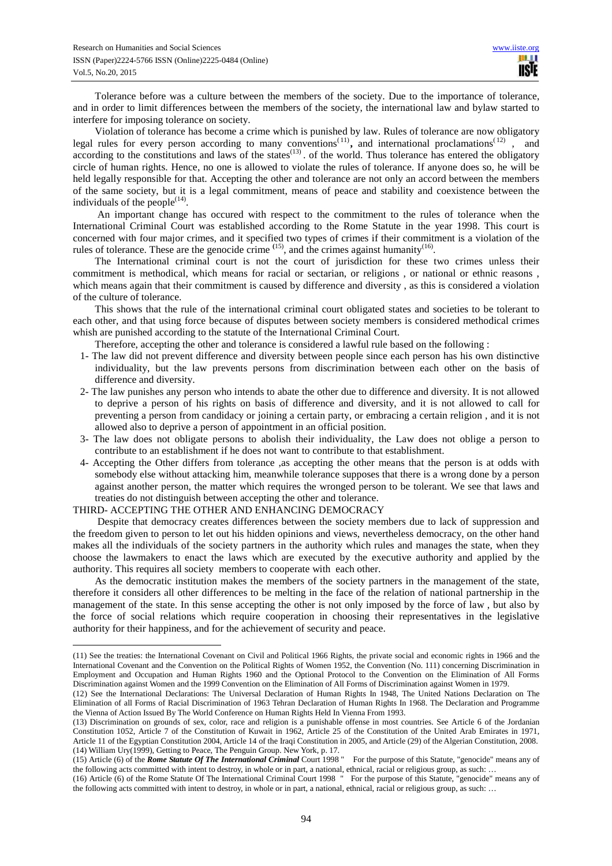Tolerance before was a culture between the members of the society. Due to the importance of tolerance, and in order to limit differences between the members of the society, the international law and bylaw started to interfere for imposing tolerance on society.

Violation of tolerance has become a crime which is punished by law. Rules of tolerance are now obligatory legal rules for every person according to many conventions<sup>(11)</sup>, and international proclamations<sup>(12)</sup>, and according to the constitutions and laws of the states $^{(13)}$ . of the world. Thus tolerance has entered the obligatory circle of human rights. Hence, no one is allowed to violate the rules of tolerance. If anyone does so, he will be held legally responsible for that. Accepting the other and tolerance are not only an accord between the members of the same society, but it is a legal commitment, means of peace and stability and coexistence between the individuals of the people $^{(14)}$ .

 An important change has occured with respect to the commitment to the rules of tolerance when the International Criminal Court was established according to the Rome Statute in the year 1998. This court is concerned with four major crimes, and it specified two types of crimes if their commitment is a violation of the rules of tolerance. These are the genocide crime  $(15)$ , and the crimes against humanity  $(16)$ .

The International criminal court is not the court of jurisdiction for these two crimes unless their commitment is methodical, which means for racial or sectarian, or religions , or national or ethnic reasons , which means again that their commitment is caused by difference and diversity, as this is considered a violation of the culture of tolerance.

This shows that the rule of the international criminal court obligated states and societies to be tolerant to each other, and that using force because of disputes between society members is considered methodical crimes whish are punished according to the statute of the International Criminal Court.

Therefore, accepting the other and tolerance is considered a lawful rule based on the following :

- 1- The law did not prevent difference and diversity between people since each person has his own distinctive individuality, but the law prevents persons from discrimination between each other on the basis of difference and diversity.
- 2- The law punishes any person who intends to abate the other due to difference and diversity. It is not allowed to deprive a person of his rights on basis of difference and diversity, and it is not allowed to call for preventing a person from candidacy or joining a certain party, or embracing a certain religion , and it is not allowed also to deprive a person of appointment in an official position.
- 3- The law does not obligate persons to abolish their individuality, the Law does not oblige a person to contribute to an establishment if he does not want to contribute to that establishment.
- 4- Accepting the Other differs from tolerance ,as accepting the other means that the person is at odds with somebody else without attacking him, meanwhile tolerance supposes that there is a wrong done by a person against another person, the matter which requires the wronged person to be tolerant. We see that laws and treaties do not distinguish between accepting the other and tolerance.

#### THIRD- ACCEPTING THE OTHER AND ENHANCING DEMOCRACY

 $\overline{a}$ 

 Despite that democracy creates differences between the society members due to lack of suppression and the freedom given to person to let out his hidden opinions and views, nevertheless democracy, on the other hand makes all the individuals of the society partners in the authority which rules and manages the state, when they choose the lawmakers to enact the laws which are executed by the executive authority and applied by the authority. This requires all society members to cooperate with each other.

As the democratic institution makes the members of the society partners in the management of the state, therefore it considers all other differences to be melting in the face of the relation of national partnership in the management of the state. In this sense accepting the other is not only imposed by the force of law , but also by the force of social relations which require cooperation in choosing their representatives in the legislative authority for their happiness, and for the achievement of security and peace.

<sup>(11)</sup> See the treaties: the International Covenant on Civil and Political 1966 Rights, the private social and economic rights in 1966 and the International Covenant and the Convention on the Political Rights of Women 1952, the Convention (No. 111) concerning Discrimination in Employment and Occupation and Human Rights 1960 and the Optional Protocol to the Convention on the Elimination of All Forms Discrimination against Women and the 1999 Convention on the Elimination of All Forms of Discrimination against Women in 1979.

<sup>(12)</sup> See the International Declarations: The Universal Declaration of Human Rights In 1948, The United Nations Declaration on The Elimination of all Forms of Racial Discrimination of 1963 Tehran Declaration of Human Rights In 1968. The Declaration and Programme the Vienna of Action Issued By The World Conference on Human Rights Held In Vienna From 1993.

<sup>(13)</sup> Discrimination on grounds of sex, color, race and religion is a punishable offense in most countries. See Article 6 of the Jordanian Constitution 1052, Article 7 of the Constitution of Kuwait in 1962, Article 25 of the Constitution of the United Arab Emirates in 1971, Article 11 of the Egyptian Constitution 2004, Article 14 of the Iraqi Constitution in 2005, and Article (29) of the Algerian Constitution, 2008. (14) William Ury(1999), Getting to Peace, The Penguin Group. New York, p. 17.

<sup>(15)</sup> Article (6) of the *Rome Statute Of The International Criminal* Court 1998 " For the purpose of this Statute, "genocide" means any of the following acts committed with intent to destroy, in whole or in part, a national, ethnical, racial or religious group, as such: …

<sup>(16)</sup> Article (6) of the Rome Statute Of The International Criminal Court 1998 " For the purpose of this Statute, "genocide" means any of the following acts committed with intent to destroy, in whole or in part, a national, ethnical, racial or religious group, as such: …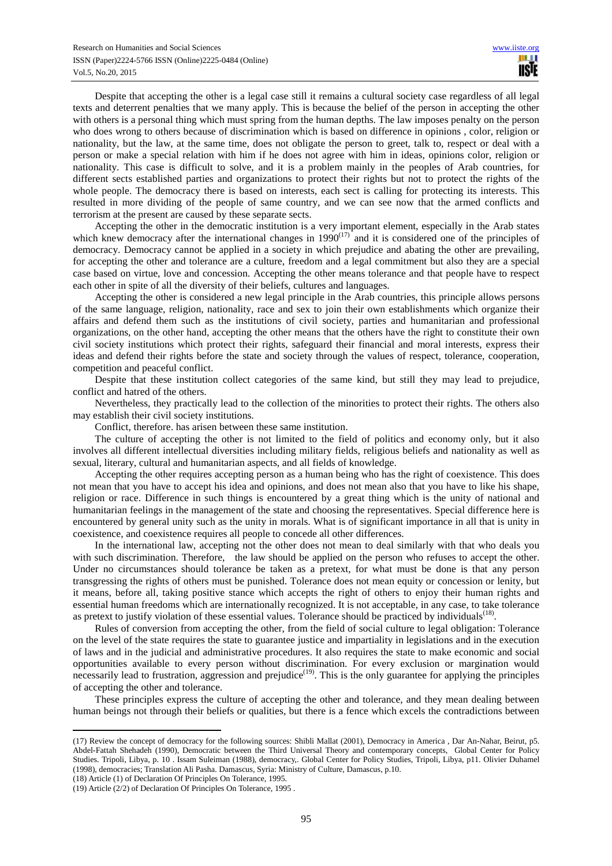Despite that accepting the other is a legal case still it remains a cultural society case regardless of all legal texts and deterrent penalties that we many apply. This is because the belief of the person in accepting the other with others is a personal thing which must spring from the human depths. The law imposes penalty on the person who does wrong to others because of discrimination which is based on difference in opinions , color, religion or nationality, but the law, at the same time, does not obligate the person to greet, talk to, respect or deal with a person or make a special relation with him if he does not agree with him in ideas, opinions color, religion or nationality. This case is difficult to solve, and it is a problem mainly in the peoples of Arab countries, for different sects established parties and organizations to protect their rights but not to protect the rights of the whole people. The democracy there is based on interests, each sect is calling for protecting its interests. This resulted in more dividing of the people of same country, and we can see now that the armed conflicts and terrorism at the present are caused by these separate sects.

Accepting the other in the democratic institution is a very important element, especially in the Arab states which knew democracy after the international changes in 1990<sup>(17)</sup> and it is considered one of the principles of democracy. Democracy cannot be applied in a society in which prejudice and abating the other are prevailing, for accepting the other and tolerance are a culture, freedom and a legal commitment but also they are a special case based on virtue, love and concession. Accepting the other means tolerance and that people have to respect each other in spite of all the diversity of their beliefs, cultures and languages.

Accepting the other is considered a new legal principle in the Arab countries, this principle allows persons of the same language, religion, nationality, race and sex to join their own establishments which organize their affairs and defend them such as the institutions of civil society, parties and humanitarian and professional organizations, on the other hand, accepting the other means that the others have the right to constitute their own civil society institutions which protect their rights, safeguard their financial and moral interests, express their ideas and defend their rights before the state and society through the values of respect, tolerance, cooperation, competition and peaceful conflict.

Despite that these institution collect categories of the same kind, but still they may lead to prejudice, conflict and hatred of the others.

Nevertheless, they practically lead to the collection of the minorities to protect their rights. The others also may establish their civil society institutions.

Conflict, therefore. has arisen between these same institution.

The culture of accepting the other is not limited to the field of politics and economy only, but it also involves all different intellectual diversities including military fields, religious beliefs and nationality as well as sexual, literary, cultural and humanitarian aspects, and all fields of knowledge.

Accepting the other requires accepting person as a human being who has the right of coexistence. This does not mean that you have to accept his idea and opinions, and does not mean also that you have to like his shape, religion or race. Difference in such things is encountered by a great thing which is the unity of national and humanitarian feelings in the management of the state and choosing the representatives. Special difference here is encountered by general unity such as the unity in morals. What is of significant importance in all that is unity in coexistence, and coexistence requires all people to concede all other differences.

In the international law, accepting not the other does not mean to deal similarly with that who deals you with such discrimination. Therefore, the law should be applied on the person who refuses to accept the other. Under no circumstances should tolerance be taken as a pretext, for what must be done is that any person transgressing the rights of others must be punished. Tolerance does not mean equity or concession or lenity, but it means, before all, taking positive stance which accepts the right of others to enjoy their human rights and essential human freedoms which are internationally recognized. It is not acceptable, in any case, to take tolerance as pretext to justify violation of these essential values. Tolerance should be practiced by individuals<sup> $(18)$ </sup>.

Rules of conversion from accepting the other, from the field of social culture to legal obligation: Tolerance on the level of the state requires the state to guarantee justice and impartiality in legislations and in the execution of laws and in the judicial and administrative procedures. It also requires the state to make economic and social opportunities available to every person without discrimination. For every exclusion or margination would  $\vec{h}$  necessarily lead to frustration, aggression and prejudice<sup>(19)</sup>. This is the only guarantee for applying the principles of accepting the other and tolerance.

These principles express the culture of accepting the other and tolerance, and they mean dealing between human beings not through their beliefs or qualities, but there is a fence which excels the contradictions between

<sup>(17)</sup> Review the concept of democracy for the following sources: Shibli Mallat (2001), Democracy in America , Dar An-Nahar, Beirut, p5. Abdel-Fattah Shehadeh (1990), Democratic between the Third Universal Theory and contemporary concepts, Global Center for Policy Studies. Tripoli, Libya, p. 10 . Issam Suleiman (1988), democracy,. Global Center for Policy Studies, Tripoli, Libya, p11. Olivier Duhamel (1998), democracies; Translation Ali Pasha. Damascus, Syria: Ministry of Culture, Damascus, p.10.

<sup>(18)</sup> Article (1) of Declaration Of Principles On Tolerance, 1995.

<sup>(19)</sup> Article (2/2) of Declaration Of Principles On Tolerance, 1995 .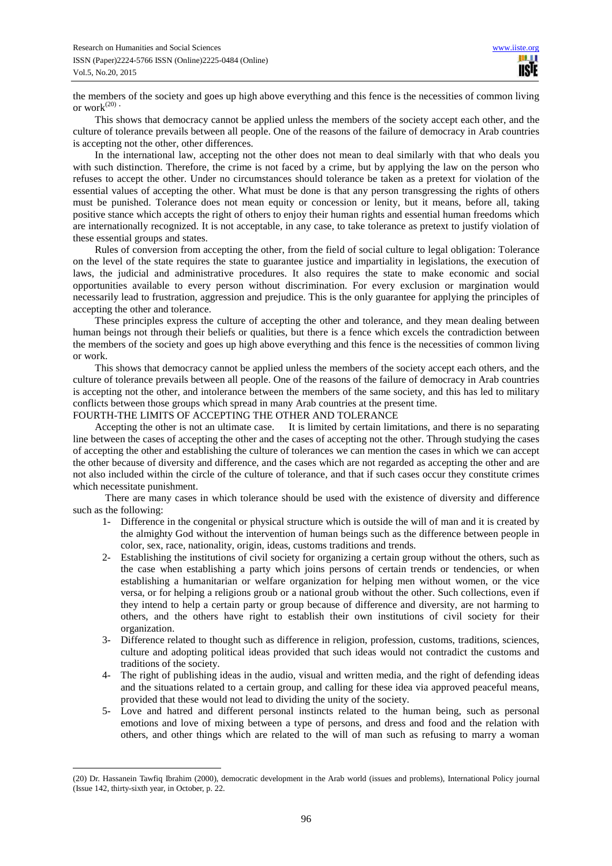the members of the society and goes up high above everything and this fence is the necessities of common living or work $(20)$ 

This shows that democracy cannot be applied unless the members of the society accept each other, and the culture of tolerance prevails between all people. One of the reasons of the failure of democracy in Arab countries is accepting not the other, other differences.

In the international law, accepting not the other does not mean to deal similarly with that who deals you with such distinction. Therefore, the crime is not faced by a crime, but by applying the law on the person who refuses to accept the other. Under no circumstances should tolerance be taken as a pretext for violation of the essential values of accepting the other. What must be done is that any person transgressing the rights of others must be punished. Tolerance does not mean equity or concession or lenity, but it means, before all, taking positive stance which accepts the right of others to enjoy their human rights and essential human freedoms which are internationally recognized. It is not acceptable, in any case, to take tolerance as pretext to justify violation of these essential groups and states.

Rules of conversion from accepting the other, from the field of social culture to legal obligation: Tolerance on the level of the state requires the state to guarantee justice and impartiality in legislations, the execution of laws, the judicial and administrative procedures. It also requires the state to make economic and social opportunities available to every person without discrimination. For every exclusion or margination would necessarily lead to frustration, aggression and prejudice. This is the only guarantee for applying the principles of accepting the other and tolerance.

These principles express the culture of accepting the other and tolerance, and they mean dealing between human beings not through their beliefs or qualities, but there is a fence which excels the contradiction between the members of the society and goes up high above everything and this fence is the necessities of common living or work.

This shows that democracy cannot be applied unless the members of the society accept each others, and the culture of tolerance prevails between all people. One of the reasons of the failure of democracy in Arab countries is accepting not the other, and intolerance between the members of the same society, and this has led to military conflicts between those groups which spread in many Arab countries at the present time.

FOURTH-THE LIMITS OF ACCEPTING THE OTHER AND TOLERANCE

 $\overline{a}$ 

Accepting the other is not an ultimate case. It is limited by certain limitations, and there is no separating line between the cases of accepting the other and the cases of accepting not the other. Through studying the cases of accepting the other and establishing the culture of tolerances we can mention the cases in which we can accept the other because of diversity and difference, and the cases which are not regarded as accepting the other and are not also included within the circle of the culture of tolerance, and that if such cases occur they constitute crimes which necessitate punishment.

 There are many cases in which tolerance should be used with the existence of diversity and difference such as the following:

- 1- Difference in the congenital or physical structure which is outside the will of man and it is created by the almighty God without the intervention of human beings such as the difference between people in color, sex, race, nationality, origin, ideas, customs traditions and trends.
- 2- Establishing the institutions of civil society for organizing a certain group without the others, such as the case when establishing a party which joins persons of certain trends or tendencies, or when establishing a humanitarian or welfare organization for helping men without women, or the vice versa, or for helping a religions groub or a national groub without the other. Such collections, even if they intend to help a certain party or group because of difference and diversity, are not harming to others, and the others have right to establish their own institutions of civil society for their organization.
- 3- Difference related to thought such as difference in religion, profession, customs, traditions, sciences, culture and adopting political ideas provided that such ideas would not contradict the customs and traditions of the society.
- 4- The right of publishing ideas in the audio, visual and written media, and the right of defending ideas and the situations related to a certain group, and calling for these idea via approved peaceful means, provided that these would not lead to dividing the unity of the society.
- 5- Love and hatred and different personal instincts related to the human being, such as personal emotions and love of mixing between a type of persons, and dress and food and the relation with others, and other things which are related to the will of man such as refusing to marry a woman

<sup>(20)</sup> Dr. Hassanein Tawfiq Ibrahim (2000), democratic development in the Arab world (issues and problems), International Policy journal (Issue 142, thirty-sixth year, in October, p. 22.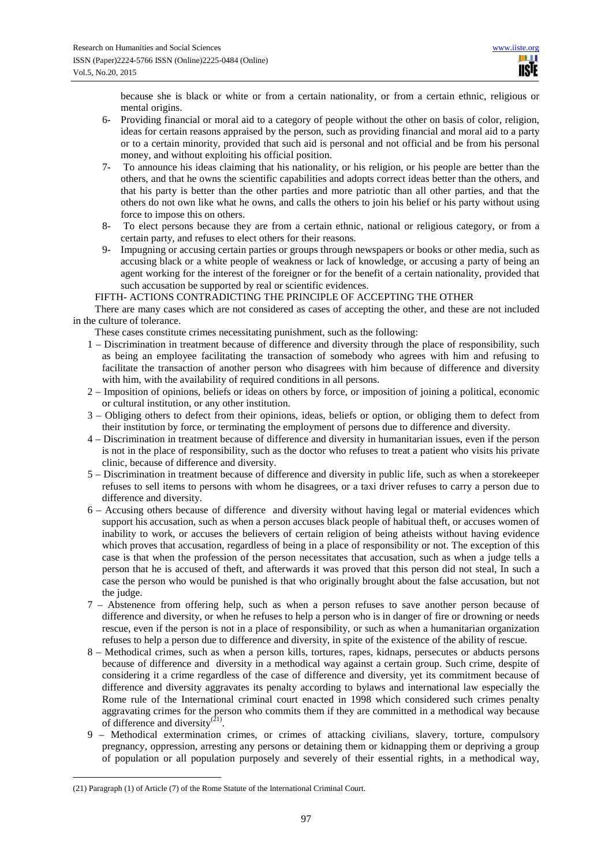because she is black or white or from a certain nationality, or from a certain ethnic, religious or mental origins.

- 6- Providing financial or moral aid to a category of people without the other on basis of color, religion, ideas for certain reasons appraised by the person, such as providing financial and moral aid to a party or to a certain minority, provided that such aid is personal and not official and be from his personal money, and without exploiting his official position.
- 7- To announce his ideas claiming that his nationality, or his religion, or his people are better than the others, and that he owns the scientific capabilities and adopts correct ideas better than the others, and that his party is better than the other parties and more patriotic than all other parties, and that the others do not own like what he owns, and calls the others to join his belief or his party without using force to impose this on others.
- 8- To elect persons because they are from a certain ethnic, national or religious category, or from a certain party, and refuses to elect others for their reasons.
- 9- Impugning or accusing certain parties or groups through newspapers or books or other media, such as accusing black or a white people of weakness or lack of knowledge, or accusing a party of being an agent working for the interest of the foreigner or for the benefit of a certain nationality, provided that such accusation be supported by real or scientific evidences.

FIFTH- ACTIONS CONTRADICTING THE PRINCIPLE OF ACCEPTING THE OTHER

There are many cases which are not considered as cases of accepting the other, and these are not included in the culture of tolerance.

These cases constitute crimes necessitating punishment, such as the following:

- 1 Discrimination in treatment because of difference and diversity through the place of responsibility, such as being an employee facilitating the transaction of somebody who agrees with him and refusing to facilitate the transaction of another person who disagrees with him because of difference and diversity with him, with the availability of required conditions in all persons.
- 2 Imposition of opinions, beliefs or ideas on others by force, or imposition of joining a political, economic or cultural institution, or any other institution.
- 3 Obliging others to defect from their opinions, ideas, beliefs or option, or obliging them to defect from their institution by force, or terminating the employment of persons due to difference and diversity.
- 4 Discrimination in treatment because of difference and diversity in humanitarian issues, even if the person is not in the place of responsibility, such as the doctor who refuses to treat a patient who visits his private clinic, because of difference and diversity.
- 5 Discrimination in treatment because of difference and diversity in public life, such as when a storekeeper refuses to sell items to persons with whom he disagrees, or a taxi driver refuses to carry a person due to difference and diversity.
- 6 Accusing others because of difference and diversity without having legal or material evidences which support his accusation, such as when a person accuses black people of habitual theft, or accuses women of inability to work, or accuses the believers of certain religion of being atheists without having evidence which proves that accusation, regardless of being in a place of responsibility or not. The exception of this case is that when the profession of the person necessitates that accusation, such as when a judge tells a person that he is accused of theft, and afterwards it was proved that this person did not steal, In such a case the person who would be punished is that who originally brought about the false accusation, but not the judge.
- 7 Abstenence from offering help, such as when a person refuses to save another person because of difference and diversity, or when he refuses to help a person who is in danger of fire or drowning or needs rescue, even if the person is not in a place of responsibility, or such as when a humanitarian organization refuses to help a person due to difference and diversity, in spite of the existence of the ability of rescue.
- 8 Methodical crimes, such as when a person kills, tortures, rapes, kidnaps, persecutes or abducts persons because of difference and diversity in a methodical way against a certain group. Such crime, despite of considering it a crime regardless of the case of difference and diversity, yet its commitment because of difference and diversity aggravates its penalty according to bylaws and international law especially the Rome rule of the International criminal court enacted in 1998 which considered such crimes penalty aggravating crimes for the person who commits them if they are committed in a methodical way because of difference and diversity $^{(21)}$ .
- 9 Methodical extermination crimes, or crimes of attacking civilians, slavery, torture, compulsory pregnancy, oppression, arresting any persons or detaining them or kidnapping them or depriving a group of population or all population purposely and severely of their essential rights, in a methodical way,

 $\overline{a}$ (21) Paragraph (1) of Article (7) of the Rome Statute of the International Criminal Court.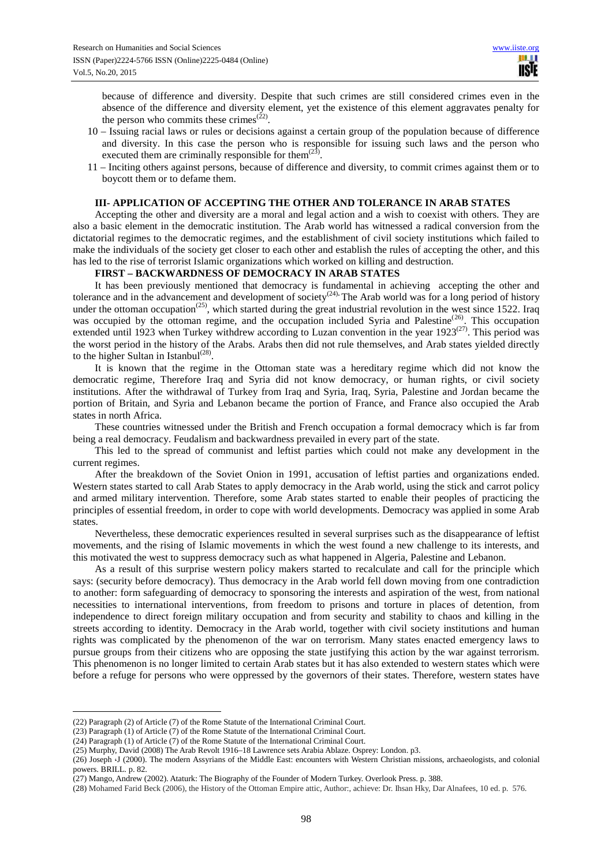because of difference and diversity. Despite that such crimes are still considered crimes even in the absence of the difference and diversity element, yet the existence of this element aggravates penalty for the person who commits these crimes<sup> $(22)$ </sup>.

- 10 Issuing racial laws or rules or decisions against a certain group of the population because of difference and diversity. In this case the person who is responsible for issuing such laws and the person who executed them are criminally responsible for them $^{(23)}$ .
- 11 Inciting others against persons, because of difference and diversity, to commit crimes against them or to boycott them or to defame them.

### **III- APPLICATION OF ACCEPTING THE OTHER AND TOLERANCE IN ARAB STATES**

Accepting the other and diversity are a moral and legal action and a wish to coexist with others. They are also a basic element in the democratic institution. The Arab world has witnessed a radical conversion from the dictatorial regimes to the democratic regimes, and the establishment of civil society institutions which failed to make the individuals of the society get closer to each other and establish the rules of accepting the other, and this has led to the rise of terrorist Islamic organizations which worked on killing and destruction.

#### **FIRST – BACKWARDNESS OF DEMOCRACY IN ARAB STATES**

It has been previously mentioned that democracy is fundamental in achieving accepting the other and tolerance and in the advancement and development of society<sup> $(24)$ </sup>. The Arab world was for a long period of history under the ottoman occupation<sup> $(25)$ </sup>, which started during the great industrial revolution in the west since 1522. Iraq was occupied by the ottoman regime, and the occupation included Syria and Palestine<sup>(26)</sup>. This occupation extended until 1923 when Turkey withdrew according to Luzan convention in the year 1923<sup>(27)</sup>. This period was the worst period in the history of the Arabs. Arabs then did not rule themselves, and Arab states yielded directly to the higher Sultan in Istanbul<sup>(28)</sup>.

It is known that the regime in the Ottoman state was a hereditary regime which did not know the democratic regime, Therefore Iraq and Syria did not know democracy, or human rights, or civil society institutions. After the withdrawal of Turkey from Iraq and Syria, Iraq, Syria, Palestine and Jordan became the portion of Britain, and Syria and Lebanon became the portion of France, and France also occupied the Arab states in north Africa.

These countries witnessed under the British and French occupation a formal democracy which is far from being a real democracy. Feudalism and backwardness prevailed in every part of the state.

This led to the spread of communist and leftist parties which could not make any development in the current regimes.

After the breakdown of the Soviet Onion in 1991, accusation of leftist parties and organizations ended. Western states started to call Arab States to apply democracy in the Arab world, using the stick and carrot policy and armed military intervention. Therefore, some Arab states started to enable their peoples of practicing the principles of essential freedom, in order to cope with world developments. Democracy was applied in some Arab states.

Nevertheless, these democratic experiences resulted in several surprises such as the disappearance of leftist movements, and the rising of Islamic movements in which the west found a new challenge to its interests, and this motivated the west to suppress democracy such as what happened in Algeria, Palestine and Lebanon.

As a result of this surprise western policy makers started to recalculate and call for the principle which says: (security before democracy). Thus democracy in the Arab world fell down moving from one contradiction to another: form safeguarding of democracy to sponsoring the interests and aspiration of the west, from national necessities to international interventions, from freedom to prisons and torture in places of detention, from independence to direct foreign military occupation and from security and stability to chaos and killing in the streets according to identity. Democracy in the Arab world, together with civil society institutions and human rights was complicated by the phenomenon of the war on terrorism. Many states enacted emergency laws to pursue groups from their citizens who are opposing the state justifying this action by the war against terrorism. This phenomenon is no longer limited to certain Arab states but it has also extended to western states which were before a refuge for persons who were oppressed by the governors of their states. Therefore, western states have

<sup>(22)</sup> Paragraph (2) of Article (7) of the Rome Statute of the International Criminal Court.

<sup>(23)</sup> Paragraph (1) of Article (7) of the Rome Statute of the International Criminal Court.

<sup>(24)</sup> Paragraph (1) of Article (7) of the Rome Statute of the International Criminal Court.

<sup>(25)</sup> Murphy, David (2008) The Arab Revolt 1916–18 Lawrence sets Arabia Ablaze. Osprey: London. p3.

<sup>(26)</sup> Joseph ،J (2000). The modern Assyrians of the Middle East: encounters with Western Christian missions, archaeologists, and colonial powers. BRILL. p. 82.

<sup>(27)</sup> Mango, Andrew (2002). Ataturk: The Biography of the Founder of Modern Turkey. Overlook Press. p. 388.

<sup>(28)</sup> Mohamed Farid Beck (2006), the History of the Ottoman Empire attic, Author:, achieve: Dr. Ihsan Hky, Dar Alnafees, 10 ed. p. 576.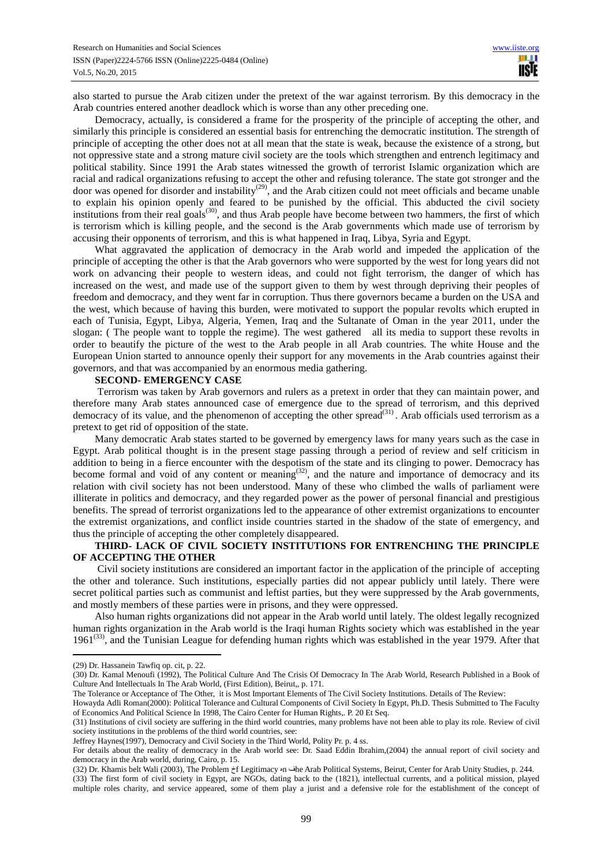also started to pursue the Arab citizen under the pretext of the war against terrorism. By this democracy in the Arab countries entered another deadlock which is worse than any other preceding one.

Democracy, actually, is considered a frame for the prosperity of the principle of accepting the other, and similarly this principle is considered an essential basis for entrenching the democratic institution. The strength of principle of accepting the other does not at all mean that the state is weak, because the existence of a strong, but not oppressive state and a strong mature civil society are the tools which strengthen and entrench legitimacy and political stability. Since 1991 the Arab states witnessed the growth of terrorist Islamic organization which are racial and radical organizations refusing to accept the other and refusing tolerance. The state got stronger and the door was opened for disorder and instability<sup>(29)</sup>, and the Arab citizen could not meet officials and became unable to explain his opinion openly and feared to be punished by the official. This abducted the civil society institutions from their real goals<sup>(30)</sup>, and thus Arab people have become between two hammers, the first of which is terrorism which is killing people, and the second is the Arab governments which made use of terrorism by accusing their opponents of terrorism, and this is what happened in Iraq, Libya, Syria and Egypt.

What aggravated the application of democracy in the Arab world and impeded the application of the principle of accepting the other is that the Arab governors who were supported by the west for long years did not work on advancing their people to western ideas, and could not fight terrorism, the danger of which has increased on the west, and made use of the support given to them by west through depriving their peoples of freedom and democracy, and they went far in corruption. Thus there governors became a burden on the USA and the west, which because of having this burden, were motivated to support the popular revolts which erupted in each of Tunisia, Egypt, Libya, Algeria, Yemen, Iraq and the Sultanate of Oman in the year 2011, under the slogan: ( The people want to topple the regime). The west gathered all its media to support these revolts in order to beautify the picture of the west to the Arab people in all Arab countries. The white House and the European Union started to announce openly their support for any movements in the Arab countries against their governors, and that was accompanied by an enormous media gathering.

#### **SECOND- EMERGENCY CASE**

 Terrorism was taken by Arab governors and rulers as a pretext in order that they can maintain power, and therefore many Arab states announced case of emergence due to the spread of terrorism, and this deprived democracy of its value, and the phenomenon of accepting the other spread<sup>(31)</sup>. Arab officials used terrorism as a pretext to get rid of opposition of the state.

Many democratic Arab states started to be governed by emergency laws for many years such as the case in Egypt. Arab political thought is in the present stage passing through a period of review and self criticism in addition to being in a fierce encounter with the despotism of the state and its clinging to power. Democracy has become formal and void of any content or meaning<sup> $(32)$ </sup>, and the nature and importance of democracy and its relation with civil society has not been understood. Many of these who climbed the walls of parliament were illiterate in politics and democracy, and they regarded power as the power of personal financial and prestigious benefits. The spread of terrorist organizations led to the appearance of other extremist organizations to encounter the extremist organizations, and conflict inside countries started in the shadow of the state of emergency, and thus the principle of accepting the other completely disappeared.

# **THIRD- LACK OF CIVIL SOCIETY INSTITUTIONS FOR ENTRENCHING THE PRINCIPLE OF ACCEPTING THE OTHER**

 Civil society institutions are considered an important factor in the application of the principle of accepting the other and tolerance. Such institutions, especially parties did not appear publicly until lately. There were secret political parties such as communist and leftist parties, but they were suppressed by the Arab governments, and mostly members of these parties were in prisons, and they were oppressed.

Also human rights organizations did not appear in the Arab world until lately. The oldest legally recognized human rights organization in the Arab world is the Iraqi human Rights society which was established in the year  $1961^{(33)}$ , and the Tunisian League for defending human rights which was established in the year 1979. After that

<sup>(29)</sup> Dr. Hassanein Tawfiq op. cit, p. 22.

<sup>(30)</sup> Dr. Kamal Menoufi (1992), The Political Culture And The Crisis Of Democracy In The Arab World, Research Published in a Book of Culture And Intellectuals In The Arab World, (First Edition), Beirut,, p. 171.

The Tolerance or Acceptance of The Other, it is Most Important Elements of The Civil Society Institutions. Details of The Review:

Howayda Adli Roman(2000): Political Tolerance and Cultural Components of Civil Society In Egypt, Ph.D. Thesis Submitted to The Faculty of Economics And Political Science In 1998, The Cairo Center for Human Rights,. P. 20 Et Seq.

<sup>(31)</sup> Institutions of civil society are suffering in the third world countries, many problems have not been able to play its role. Review of civil society institutions in the problems of the third world countries, see:

Jeffrey Haynes(1997), Democracy and Civil Society in the Third World, Polity Pr. p. 4 ss.

For details about the reality of democracy in the Arab world see: Dr. Saad Eddin Ibrahim,(2004) the annual report of civil society and democracy in the Arab world, during, Cairo, p. 15.

<sup>(32)</sup> Dr. Khamis belt Wali (2003), The Problem خf Legitimacy هn فhe Arab Political Systems, Beirut, Center for Arab Unity Studies, p. 244.

<sup>(33)</sup> The first form of civil society in Egypt, are NGOs, dating back to the (1821), intellectual currents, and a political mission, played multiple roles charity, and service appeared, some of them play a jurist and a defensive role for the establishment of the concept of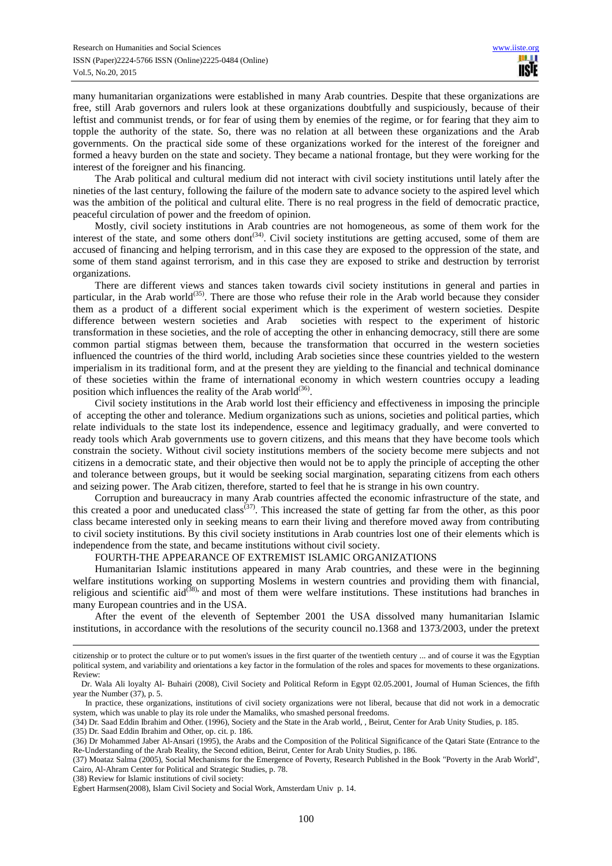many humanitarian organizations were established in many Arab countries. Despite that these organizations are free, still Arab governors and rulers look at these organizations doubtfully and suspiciously, because of their leftist and communist trends, or for fear of using them by enemies of the regime, or for fearing that they aim to topple the authority of the state. So, there was no relation at all between these organizations and the Arab governments. On the practical side some of these organizations worked for the interest of the foreigner and formed a heavy burden on the state and society. They became a national frontage, but they were working for the interest of the foreigner and his financing.

The Arab political and cultural medium did not interact with civil society institutions until lately after the nineties of the last century, following the failure of the modern sate to advance society to the aspired level which was the ambition of the political and cultural elite. There is no real progress in the field of democratic practice, peaceful circulation of power and the freedom of opinion.

Mostly, civil society institutions in Arab countries are not homogeneous, as some of them work for the interest of the state, and some others dont $^{(34)}$ . Civil society institutions are getting accused, some of them are accused of financing and helping terrorism, and in this case they are exposed to the oppression of the state, and some of them stand against terrorism, and in this case they are exposed to strike and destruction by terrorist organizations.

There are different views and stances taken towards civil society institutions in general and parties in particular, in the Arab world<sup>(35)</sup>. There are those who refuse their role in the Arab world because they consider them as a product of a different social experiment which is the experiment of western societies. Despite difference between western societies and Arab societies with respect to the experiment of historic transformation in these societies, and the role of accepting the other in enhancing democracy, still there are some common partial stigmas between them, because the transformation that occurred in the western societies influenced the countries of the third world, including Arab societies since these countries yielded to the western imperialism in its traditional form, and at the present they are yielding to the financial and technical dominance of these societies within the frame of international economy in which western countries occupy a leading position which influences the reality of the Arab world<sup>(36)</sup>.

Civil society institutions in the Arab world lost their efficiency and effectiveness in imposing the principle of accepting the other and tolerance. Medium organizations such as unions, societies and political parties, which relate individuals to the state lost its independence, essence and legitimacy gradually, and were converted to ready tools which Arab governments use to govern citizens, and this means that they have become tools which constrain the society. Without civil society institutions members of the society become mere subjects and not citizens in a democratic state, and their objective then would not be to apply the principle of accepting the other and tolerance between groups, but it would be seeking social margination, separating citizens from each others and seizing power. The Arab citizen, therefore, started to feel that he is strange in his own country.

Corruption and bureaucracy in many Arab countries affected the economic infrastructure of the state, and this created a poor and uneducated class<sup> $(37)$ </sup>. This increased the state of getting far from the other, as this poor class became interested only in seeking means to earn their living and therefore moved away from contributing to civil society institutions. By this civil society institutions in Arab countries lost one of their elements which is independence from the state, and became institutions without civil society.

# FOURTH-THE APPEARANCE OF EXTREMIST ISLAMIC ORGANIZATIONS

Humanitarian Islamic institutions appeared in many Arab countries, and these were in the beginning welfare institutions working on supporting Moslems in western countries and providing them with financial, religious and scientific aid<sup>(38)</sup>, and most of them were welfare institutions. These institutions had branches in many European countries and in the USA.

After the event of the eleventh of September 2001 the USA dissolved many humanitarian Islamic institutions, in accordance with the resolutions of the security council no.1368 and 1373/2003, under the pretext

(35) Dr. Saad Eddin Ibrahim and Other, op. cit. p. 186.

 $\overline{a}$ 

(38) Review for Islamic institutions of civil society:

citizenship or to protect the culture or to put women's issues in the first quarter of the twentieth century ... and of course it was the Egyptian political system, and variability and orientations a key factor in the formulation of the roles and spaces for movements to these organizations. Review:

Dr. Wala Ali loyalty Al- Buhairi (2008), Civil Society and Political Reform in Egypt 02.05.2001, Journal of Human Sciences, the fifth year the Number (37), p. 5.

In practice, these organizations, institutions of civil society organizations were not liberal, because that did not work in a democratic system, which was unable to play its role under the Mamaliks, who smashed personal freedoms.

<sup>(34)</sup> Dr. Saad Eddin Ibrahim and Other. (1996), Society and the State in the Arab world, , Beirut, Center for Arab Unity Studies, p. 185.

<sup>(36)</sup> Dr Mohammed Jaber Al-Ansari (1995), the Arabs and the Composition of the Political Significance of the Qatari State (Entrance to the Re-Understanding of the Arab Reality, the Second edition, Beirut, Center for Arab Unity Studies, p. 186.

<sup>(37)</sup> Moataz Salma (2005), Social Mechanisms for the Emergence of Poverty, Research Published in the Book "Poverty in the Arab World", Cairo, Al-Ahram Center for Political and Strategic Studies, p. 78.

Egbert Harmsen(2008), Islam Civil Society and Social Work, Amsterdam Univ p. 14.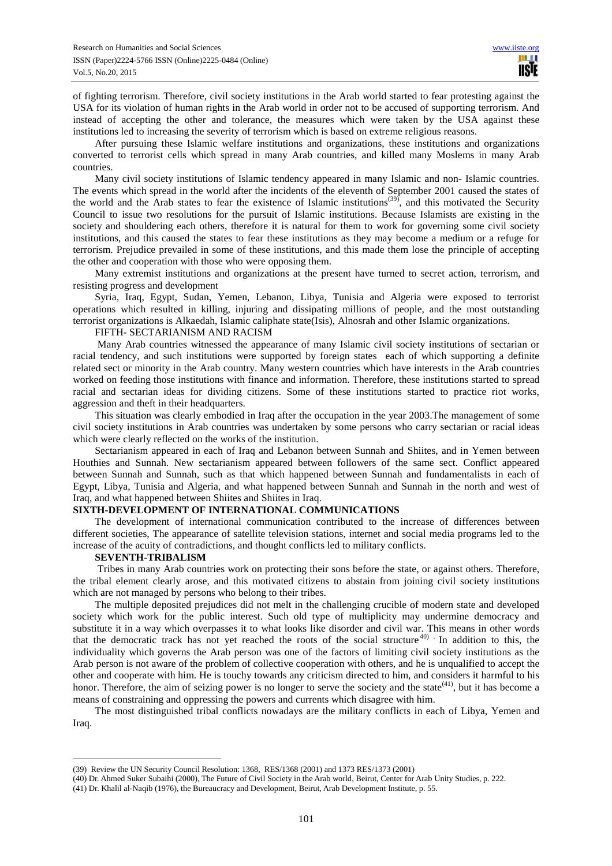of fighting terrorism. Therefore, civil society institutions in the Arab world started to fear protesting against the USA for its violation of human rights in the Arab world in order not to be accused of supporting terrorism. And instead of accepting the other and tolerance, the measures which were taken by the USA against these institutions led to increasing the severity of terrorism which is based on extreme religious reasons.

After pursuing these Islamic welfare institutions and organizations, these institutions and organizations converted to terrorist cells which spread in many Arab countries, and killed many Moslems in many Arab countries.

Many civil society institutions of Islamic tendency appeared in many Islamic and non- Islamic countries. The events which spread in the world after the incidents of the eleventh of September 2001 caused the states of the world and the Arab states to fear the existence of Islamic institutions<sup>(39)</sup>, and this motivated the Security Council to issue two resolutions for the pursuit of Islamic institutions. Because Islamists are existing in the society and shouldering each others, therefore it is natural for them to work for governing some civil society institutions, and this caused the states to fear these institutions as they may become a medium or a refuge for terrorism. Prejudice prevailed in some of these institutions, and this made them lose the principle of accepting the other and cooperation with those who were opposing them.

Many extremist institutions and organizations at the present have turned to secret action, terrorism, and resisting progress and development

Syria, Iraq, Egypt, Sudan, Yemen, Lebanon, Libya, Tunisia and Algeria were exposed to terrorist operations which resulted in killing, injuring and dissipating millions of people, and the most outstanding terrorist organizations is Alkaedah, Islamic caliphate state(Isis), Alnosrah and other Islamic organizations.

# FIFTH- SECTARIANISM AND RACISM

 Many Arab countries witnessed the appearance of many Islamic civil society institutions of sectarian or racial tendency, and such institutions were supported by foreign states each of which supporting a definite related sect or minority in the Arab country. Many western countries which have interests in the Arab countries worked on feeding those institutions with finance and information. Therefore, these institutions started to spread racial and sectarian ideas for dividing citizens. Some of these institutions started to practice riot works, aggression and theft in their headquarters.

This situation was clearly embodied in Iraq after the occupation in the year 2003.The management of some civil society institutions in Arab countries was undertaken by some persons who carry sectarian or racial ideas which were clearly reflected on the works of the institution.

Sectarianism appeared in each of Iraq and Lebanon between Sunnah and Shiites, and in Yemen between Houthies and Sunnah. New sectarianism appeared between followers of the same sect. Conflict appeared between Sunnah and Sunnah, such as that which happened between Sunnah and fundamentalists in each of Egypt, Libya, Tunisia and Algeria, and what happened between Sunnah and Sunnah in the north and west of Iraq, and what happened between Shiites and Shiites in Iraq.

## **SIXTH-DEVELOPMENT OF INTERNATIONAL COMMUNICATIONS**

The development of international communication contributed to the increase of differences between different societies, The appearance of satellite television stations, internet and social media programs led to the increase of the acuity of contradictions, and thought conflicts led to military conflicts.

#### **SEVENTH-TRIBALISM**

 $\overline{a}$ 

Tribes in many Arab countries work on protecting their sons before the state, or against others. Therefore, the tribal element clearly arose, and this motivated citizens to abstain from joining civil society institutions which are not managed by persons who belong to their tribes.

The multiple deposited prejudices did not melt in the challenging crucible of modern state and developed society which work for the public interest. Such old type of multiplicity may undermine democracy and substitute it in a way which overpasses it to what looks like disorder and civil war. This means in other words that the democratic track has not yet reached the roots of the social structure  $40^\circ$ . In addition to this, the individuality which governs the Arab person was one of the factors of limiting civil society institutions as the Arab person is not aware of the problem of collective cooperation with others, and he is unqualified to accept the other and cooperate with him. He is touchy towards any criticism directed to him, and considers it harmful to his honor. Therefore, the aim of seizing power is no longer to serve the society and the state  $(41)$ , but it has become a means of constraining and oppressing the powers and currents which disagree with him.

The most distinguished tribal conflicts nowadays are the military conflicts in each of Libya, Yemen and Iraq.

<sup>(39)</sup> Review the UN Security Council Resolution: 1368, RES/1368 (2001) and 1373 RES/1373 (2001)

<sup>(40)</sup> Dr. Ahmed Suker Subaihi (2000), The Future of Civil Society in the Arab world, Beirut, Center for Arab Unity Studies, p. 222.

<sup>(41)</sup> Dr. Khalil al-Naqib (1976), the Bureaucracy and Development, Beirut, Arab Development Institute, p. 55.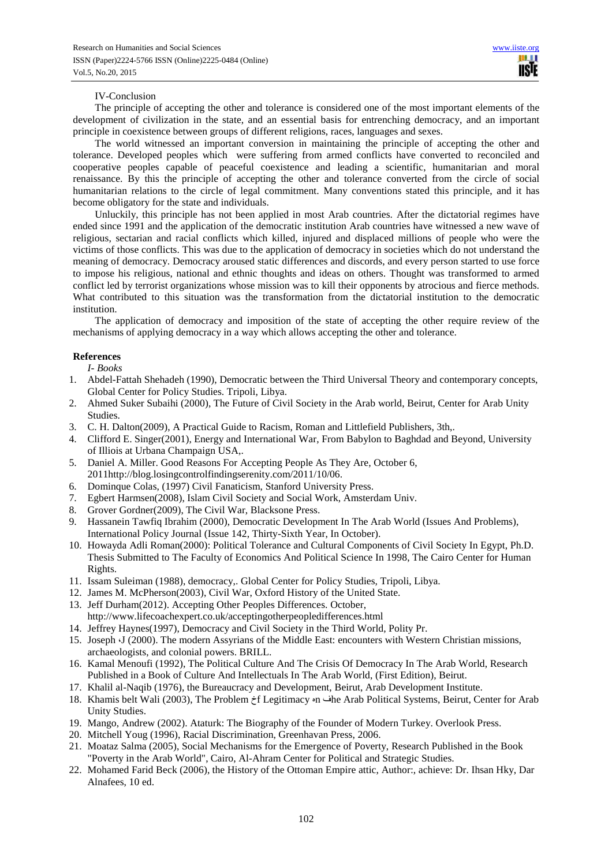# IV-Conclusion

The principle of accepting the other and tolerance is considered one of the most important elements of the development of civilization in the state, and an essential basis for entrenching democracy, and an important principle in coexistence between groups of different religions, races, languages and sexes.

The world witnessed an important conversion in maintaining the principle of accepting the other and tolerance. Developed peoples which were suffering from armed conflicts have converted to reconciled and cooperative peoples capable of peaceful coexistence and leading a scientific, humanitarian and moral renaissance. By this the principle of accepting the other and tolerance converted from the circle of social humanitarian relations to the circle of legal commitment. Many conventions stated this principle, and it has become obligatory for the state and individuals.

Unluckily, this principle has not been applied in most Arab countries. After the dictatorial regimes have ended since 1991 and the application of the democratic institution Arab countries have witnessed a new wave of religious, sectarian and racial conflicts which killed, injured and displaced millions of people who were the victims of those conflicts. This was due to the application of democracy in societies which do not understand the meaning of democracy. Democracy aroused static differences and discords, and every person started to use force to impose his religious, national and ethnic thoughts and ideas on others. Thought was transformed to armed conflict led by terrorist organizations whose mission was to kill their opponents by atrocious and fierce methods. What contributed to this situation was the transformation from the dictatorial institution to the democratic institution.

The application of democracy and imposition of the state of accepting the other require review of the mechanisms of applying democracy in a way which allows accepting the other and tolerance.

# **References**

*I- Books* 

- 1. Abdel-Fattah Shehadeh (1990), Democratic between the Third Universal Theory and contemporary concepts, Global Center for Policy Studies. Tripoli, Libya.
- 2. Ahmed Suker Subaihi (2000), The Future of Civil Society in the Arab world, Beirut, Center for Arab Unity Studies.
- 3. C. H. Dalton(2009), A Practical Guide to Racism, Roman and Littlefield Publishers, 3th,.
- 4. Clifford E. Singer(2001), Energy and International War, From Babylon to Baghdad and Beyond, University of Illiois at Urbana Champaign USA,.
- 5. Daniel A. Miller. Good Reasons For Accepting People As They Are, October 6, 2011http://blog.losingcontrolfindingserenity.com/2011/10/06.
- 6. Dominque Colas, (1997) Civil Fanaticism, Stanford University Press.
- 7. Egbert Harmsen(2008), Islam Civil Society and Social Work, Amsterdam Univ.
- 8. Grover Gordner(2009), The Civil War, Blacksone Press.
- 9. Hassanein Tawfiq Ibrahim (2000), Democratic Development In The Arab World (Issues And Problems), International Policy Journal (Issue 142, Thirty-Sixth Year, In October).
- 10. Howayda Adli Roman(2000): Political Tolerance and Cultural Components of Civil Society In Egypt, Ph.D. Thesis Submitted to The Faculty of Economics And Political Science In 1998, The Cairo Center for Human Rights.
- 11. Issam Suleiman (1988), democracy,. Global Center for Policy Studies, Tripoli, Libya.
- 12. James M. McPherson(2003), Civil War, Oxford History of the United State.
- 13. Jeff Durham(2012). Accepting Other Peoples Differences. October, http://www.lifecoachexpert.co.uk/acceptingotherpeopledifferences.html
- 14. Jeffrey Haynes(1997), Democracy and Civil Society in the Third World, Polity Pr.
- 15. Joseph G (2000). The modern Assyrians of the Middle East: encounters with Western Christian missions, archaeologists, and colonial powers. BRILL.
- 16. Kamal Menoufi (1992), The Political Culture And The Crisis Of Democracy In The Arab World, Research Published in a Book of Culture And Intellectuals In The Arab World, (First Edition), Beirut.
- 17. Khalil al-Naqib (1976), the Bureaucracy and Development, Beirut, Arab Development Institute.
- 18. Khamis belt Wali (2003), The Problem خf Legitimacy هn فhe Arab Political Systems, Beirut, Center for Arab Unity Studies.
- 19. Mango, Andrew (2002). Ataturk: The Biography of the Founder of Modern Turkey. Overlook Press.
- 20. Mitchell Youg (1996), Racial Discrimination, Greenhavan Press, 2006.
- 21. Moataz Salma (2005), Social Mechanisms for the Emergence of Poverty, Research Published in the Book "Poverty in the Arab World", Cairo, Al-Ahram Center for Political and Strategic Studies.
- 22. Mohamed Farid Beck (2006), the History of the Ottoman Empire attic, Author:, achieve: Dr. Ihsan Hky, Dar Alnafees, 10 ed.